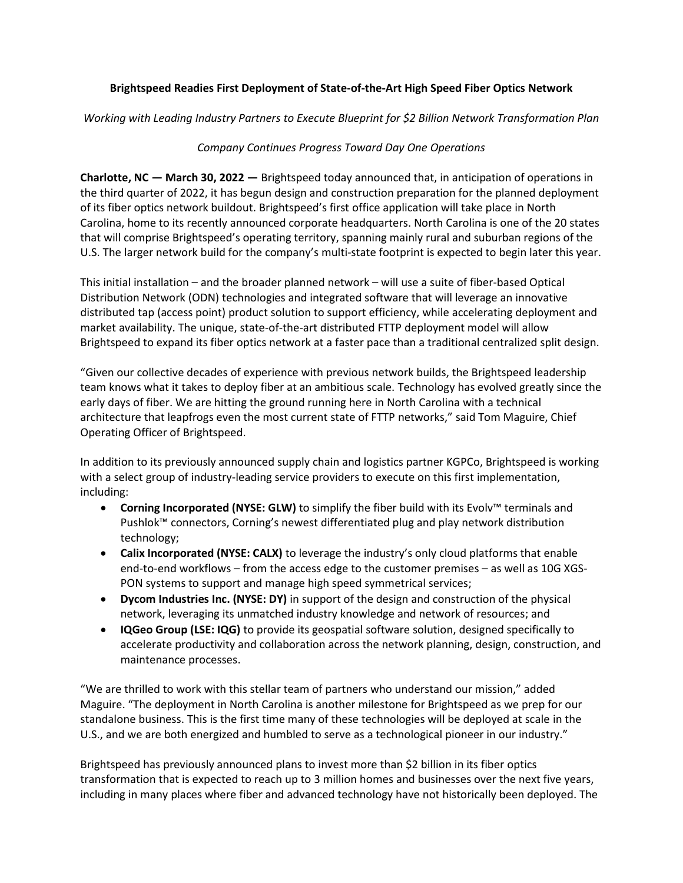## **Brightspeed Readies First Deployment of State-of-the-Art High Speed Fiber Optics Network**

*Working with Leading Industry Partners to Execute Blueprint for \$2 Billion Network Transformation Plan*

## *Company Continues Progress Toward Day One Operations*

**Charlotte, NC — March 30, 2022 —** Brightspeed today announced that, in anticipation of operations in the third quarter of 2022, it has begun design and construction preparation for the planned deployment of its fiber optics network buildout. Brightspeed's first office application will take place in North Carolina, home to its recently announced corporate headquarters. North Carolina is one of the 20 states that will comprise Brightspeed's operating territory, spanning mainly rural and suburban regions of the U.S. The larger network build for the company's multi-state footprint is expected to begin later this year.

This initial installation – and the broader planned network – will use a suite of fiber-based Optical Distribution Network (ODN) technologies and integrated software that will leverage an innovative distributed tap (access point) product solution to support efficiency, while accelerating deployment and market availability. The unique, state-of-the-art distributed FTTP deployment model will allow Brightspeed to expand its fiber optics network at a faster pace than a traditional centralized split design.

"Given our collective decades of experience with previous network builds, the Brightspeed leadership team knows what it takes to deploy fiber at an ambitious scale. Technology has evolved greatly since the early days of fiber. We are hitting the ground running here in North Carolina with a technical architecture that leapfrogs even the most current state of FTTP networks," said Tom Maguire, Chief Operating Officer of Brightspeed.

In addition to its previously announced supply chain and logistics partner KGPCo, Brightspeed is working with a select group of industry-leading service providers to execute on this first implementation, including:

- **Corning Incorporated (NYSE: GLW)** to simplify the fiber build with its [Evolv™ terminals and](https://www.corning.com/optical-communications/worldwide/en/home/products/evolv-hardened-connectivity-solutions.html)  [Pushlok™ connectors,](https://www.corning.com/optical-communications/worldwide/en/home/products/evolv-hardened-connectivity-solutions.html) Corning's newest differentiated plug and play network distribution technology;
- **Calix Incorporated (NYSE: CALX)** to leverage the industry's only cloud platforms that enable end-to-end workflows – from the access edge to the customer premises – as well as 10G XGS-PON systems to support and manage high speed symmetrical services;
- **Dycom Industries Inc. (NYSE: DY)** in support of the design and construction of the physical network, leveraging its unmatched industry knowledge and network of resources; and
- **IQGeo Group (LSE: IQG)** to provide its geospatial software solution, designed specifically to accelerate productivity and collaboration across the network planning, design, construction, and maintenance processes.

"We are thrilled to work with this stellar team of partners who understand our mission," added Maguire. "The deployment in North Carolina is another milestone for Brightspeed as we prep for our standalone business. This is the first time many of these technologies will be deployed at scale in the U.S., and we are both energized and humbled to serve as a technological pioneer in our industry."

Brightspeed has previously announced plans to invest more than \$2 billion in its fiber optics transformation that is expected to reach up to 3 million homes and businesses over the next five years, including in many places where fiber and advanced technology have not historically been deployed. The